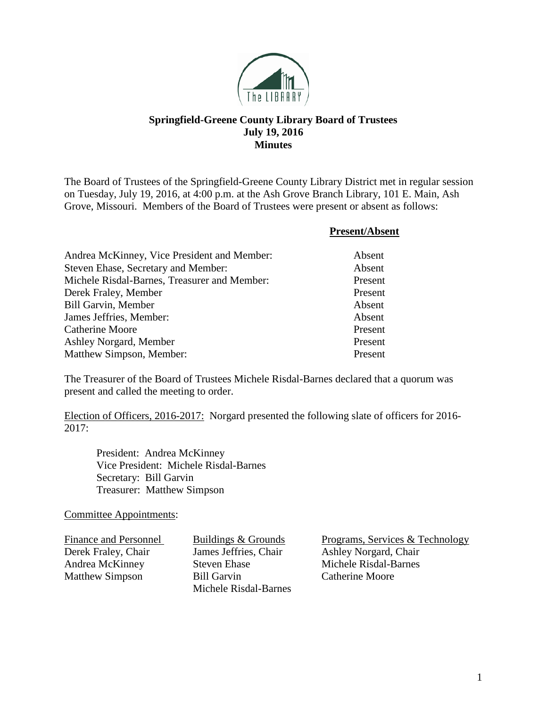

## **Springfield-Greene County Library Board of Trustees July 19, 2016 Minutes**

The Board of Trustees of the Springfield-Greene County Library District met in regular session on Tuesday, July 19, 2016, at 4:00 p.m. at the Ash Grove Branch Library, 101 E. Main, Ash Grove, Missouri. Members of the Board of Trustees were present or absent as follows:

|                                              | <b>Present/Absent</b> |
|----------------------------------------------|-----------------------|
| Andrea McKinney, Vice President and Member:  | Absent                |
| Steven Ehase, Secretary and Member:          | Absent                |
| Michele Risdal-Barnes, Treasurer and Member: | Present               |
| Derek Fraley, Member                         | Present               |
| <b>Bill Garvin, Member</b>                   | Absent                |
| James Jeffries, Member:                      | Absent                |
| <b>Catherine Moore</b>                       | Present               |
| Ashley Norgard, Member                       | Present               |
| Matthew Simpson, Member:                     | Present               |

The Treasurer of the Board of Trustees Michele Risdal-Barnes declared that a quorum was present and called the meeting to order.

Election of Officers, 2016-2017: Norgard presented the following slate of officers for 2016- 2017:

President: Andrea McKinney Vice President: Michele Risdal-Barnes Secretary: Bill Garvin Treasurer: Matthew Simpson

Committee Appointments:

Matthew Simpson Bill Garvin

Michele Risdal-Barnes

Finance and Personnel Buildings & Grounds<br>
Derek Fraley, Chair James Jeffries, Chair Ashley Norgard, Chair Derek Fraley, Chair James Jeffries, Chair Ashley Norgard, Chair Andrea McKinney Steven Ehase Michele Risdal-Barnes<br>
Matthew Simpson Bill Garvin Catherine Moore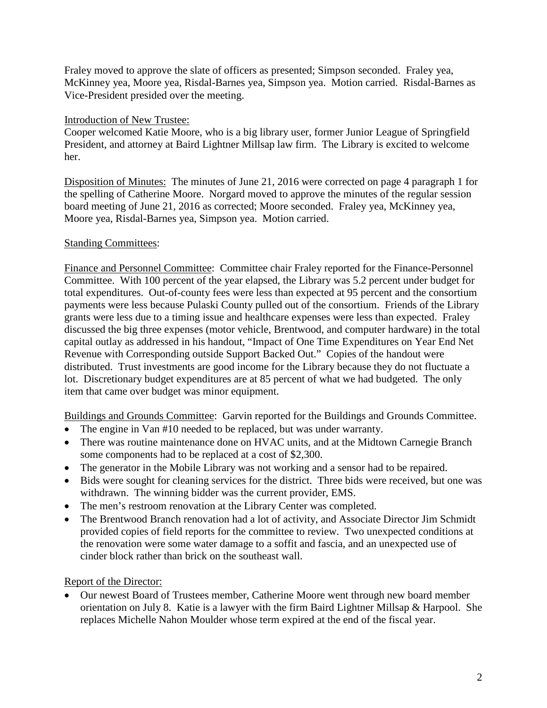Fraley moved to approve the slate of officers as presented; Simpson seconded. Fraley yea, McKinney yea, Moore yea, Risdal-Barnes yea, Simpson yea. Motion carried. Risdal-Barnes as Vice-President presided over the meeting.

## Introduction of New Trustee:

Cooper welcomed Katie Moore, who is a big library user, former Junior League of Springfield President, and attorney at Baird Lightner Millsap law firm. The Library is excited to welcome her.

Disposition of Minutes: The minutes of June 21, 2016 were corrected on page 4 paragraph 1 for the spelling of Catherine Moore. Norgard moved to approve the minutes of the regular session board meeting of June 21, 2016 as corrected; Moore seconded. Fraley yea, McKinney yea, Moore yea, Risdal-Barnes yea, Simpson yea. Motion carried.

## Standing Committees:

Finance and Personnel Committee: Committee chair Fraley reported for the Finance-Personnel Committee. With 100 percent of the year elapsed, the Library was 5.2 percent under budget for total expenditures. Out-of-county fees were less than expected at 95 percent and the consortium payments were less because Pulaski County pulled out of the consortium. Friends of the Library grants were less due to a timing issue and healthcare expenses were less than expected. Fraley discussed the big three expenses (motor vehicle, Brentwood, and computer hardware) in the total capital outlay as addressed in his handout, "Impact of One Time Expenditures on Year End Net Revenue with Corresponding outside Support Backed Out." Copies of the handout were distributed. Trust investments are good income for the Library because they do not fluctuate a lot. Discretionary budget expenditures are at 85 percent of what we had budgeted. The only item that came over budget was minor equipment.

Buildings and Grounds Committee: Garvin reported for the Buildings and Grounds Committee.

- The engine in Van #10 needed to be replaced, but was under warranty.
- There was routine maintenance done on HVAC units, and at the Midtown Carnegie Branch some components had to be replaced at a cost of \$2,300.
- The generator in the Mobile Library was not working and a sensor had to be repaired.
- Bids were sought for cleaning services for the district. Three bids were received, but one was withdrawn. The winning bidder was the current provider, EMS.
- The men's restroom renovation at the Library Center was completed.
- The Brentwood Branch renovation had a lot of activity, and Associate Director Jim Schmidt provided copies of field reports for the committee to review. Two unexpected conditions at the renovation were some water damage to a soffit and fascia, and an unexpected use of cinder block rather than brick on the southeast wall.

## Report of the Director:

• Our newest Board of Trustees member, Catherine Moore went through new board member orientation on July 8. Katie is a lawyer with the firm Baird Lightner Millsap & Harpool. She replaces Michelle Nahon Moulder whose term expired at the end of the fiscal year.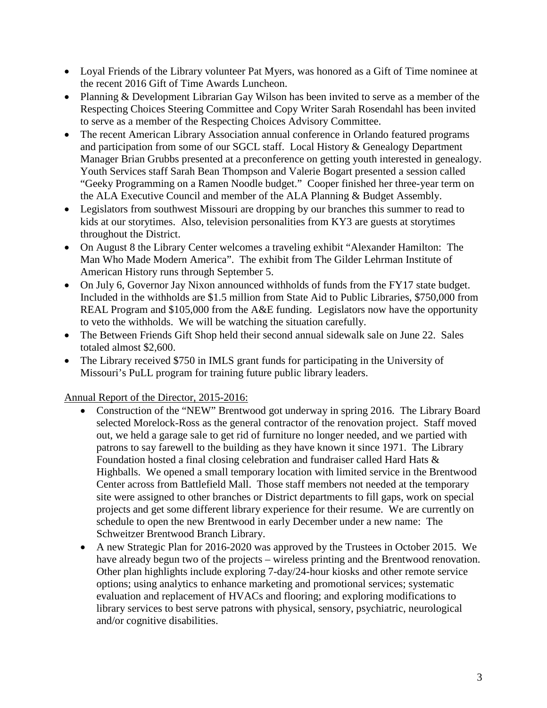- Loyal Friends of the Library volunteer Pat Myers, was honored as a Gift of Time nominee at the recent 2016 Gift of Time Awards Luncheon.
- Planning & Development Librarian Gay Wilson has been invited to serve as a member of the Respecting Choices Steering Committee and Copy Writer Sarah Rosendahl has been invited to serve as a member of the Respecting Choices Advisory Committee.
- The recent American Library Association annual conference in Orlando featured programs and participation from some of our SGCL staff. Local History & Genealogy Department Manager Brian Grubbs presented at a preconference on getting youth interested in genealogy. Youth Services staff Sarah Bean Thompson and Valerie Bogart presented a session called "Geeky Programming on a Ramen Noodle budget." Cooper finished her three-year term on the ALA Executive Council and member of the ALA Planning & Budget Assembly.
- Legislators from southwest Missouri are dropping by our branches this summer to read to kids at our storytimes. Also, television personalities from KY3 are guests at storytimes throughout the District.
- On August 8 the Library Center welcomes a traveling exhibit "Alexander Hamilton: The Man Who Made Modern America". The exhibit from The Gilder Lehrman Institute of American History runs through September 5.
- On July 6, Governor Jay Nixon announced withholds of funds from the FY17 state budget. Included in the withholds are \$1.5 million from State Aid to Public Libraries, \$750,000 from REAL Program and \$105,000 from the A&E funding. Legislators now have the opportunity to veto the withholds. We will be watching the situation carefully.
- The Between Friends Gift Shop held their second annual sidewalk sale on June 22. Sales totaled almost \$2,600.
- The Library received \$750 in IMLS grant funds for participating in the University of Missouri's PuLL program for training future public library leaders.

Annual Report of the Director, 2015-2016:

- Construction of the "NEW" Brentwood got underway in spring 2016. The Library Board selected Morelock-Ross as the general contractor of the renovation project. Staff moved out, we held a garage sale to get rid of furniture no longer needed, and we partied with patrons to say farewell to the building as they have known it since 1971. The Library Foundation hosted a final closing celebration and fundraiser called Hard Hats & Highballs. We opened a small temporary location with limited service in the Brentwood Center across from Battlefield Mall. Those staff members not needed at the temporary site were assigned to other branches or District departments to fill gaps, work on special projects and get some different library experience for their resume. We are currently on schedule to open the new Brentwood in early December under a new name: The Schweitzer Brentwood Branch Library.
- A new Strategic Plan for 2016-2020 was approved by the Trustees in October 2015. We have already begun two of the projects – wireless printing and the Brentwood renovation. Other plan highlights include exploring 7-day/24-hour kiosks and other remote service options; using analytics to enhance marketing and promotional services; systematic evaluation and replacement of HVACs and flooring; and exploring modifications to library services to best serve patrons with physical, sensory, psychiatric, neurological and/or cognitive disabilities.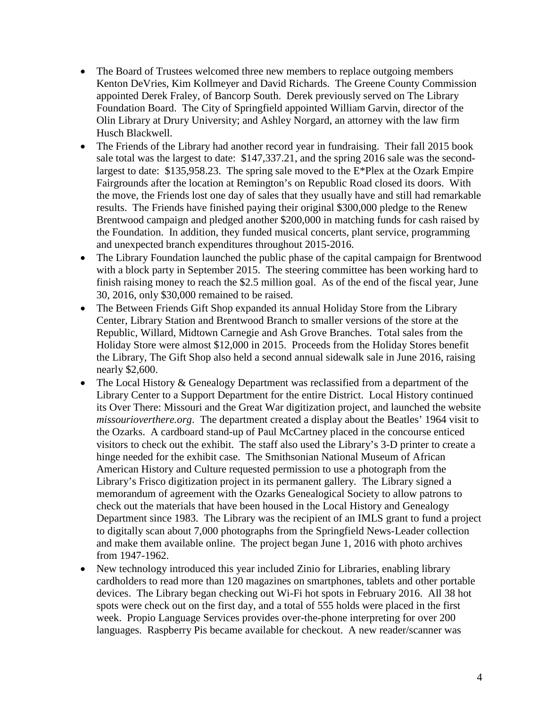- The Board of Trustees welcomed three new members to replace outgoing members Kenton DeVries, Kim Kollmeyer and David Richards. The Greene County Commission appointed Derek Fraley, of Bancorp South. Derek previously served on The Library Foundation Board. The City of Springfield appointed William Garvin, director of the Olin Library at Drury University; and Ashley Norgard, an attorney with the law firm Husch Blackwell.
- The Friends of the Library had another record year in fundraising. Their fall 2015 book sale total was the largest to date: \$147,337.21, and the spring 2016 sale was the secondlargest to date: \$135,958.23. The spring sale moved to the E\*Plex at the Ozark Empire Fairgrounds after the location at Remington's on Republic Road closed its doors. With the move, the Friends lost one day of sales that they usually have and still had remarkable results. The Friends have finished paying their original \$300,000 pledge to the Renew Brentwood campaign and pledged another \$200,000 in matching funds for cash raised by the Foundation. In addition, they funded musical concerts, plant service, programming and unexpected branch expenditures throughout 2015-2016.
- The Library Foundation launched the public phase of the capital campaign for Brentwood with a block party in September 2015. The steering committee has been working hard to finish raising money to reach the \$2.5 million goal. As of the end of the fiscal year, June 30, 2016, only \$30,000 remained to be raised.
- The Between Friends Gift Shop expanded its annual Holiday Store from the Library Center, Library Station and Brentwood Branch to smaller versions of the store at the Republic, Willard, Midtown Carnegie and Ash Grove Branches. Total sales from the Holiday Store were almost \$12,000 in 2015. Proceeds from the Holiday Stores benefit the Library, The Gift Shop also held a second annual sidewalk sale in June 2016, raising nearly \$2,600.
- The Local History & Genealogy Department was reclassified from a department of the Library Center to a Support Department for the entire District. Local History continued its Over There: Missouri and the Great War digitization project, and launched the website *missourioverthere.org*. The department created a display about the Beatles' 1964 visit to the Ozarks. A cardboard stand-up of Paul McCartney placed in the concourse enticed visitors to check out the exhibit. The staff also used the Library's 3-D printer to create a hinge needed for the exhibit case. The Smithsonian National Museum of African American History and Culture requested permission to use a photograph from the Library's Frisco digitization project in its permanent gallery. The Library signed a memorandum of agreement with the Ozarks Genealogical Society to allow patrons to check out the materials that have been housed in the Local History and Genealogy Department since 1983. The Library was the recipient of an IMLS grant to fund a project to digitally scan about 7,000 photographs from the Springfield News-Leader collection and make them available online. The project began June 1, 2016 with photo archives from 1947-1962.
- New technology introduced this year included Zinio for Libraries, enabling library cardholders to read more than 120 magazines on smartphones, tablets and other portable devices. The Library began checking out Wi-Fi hot spots in February 2016. All 38 hot spots were check out on the first day, and a total of 555 holds were placed in the first week. Propio Language Services provides over-the-phone interpreting for over 200 languages. Raspberry Pis became available for checkout. A new reader/scanner was